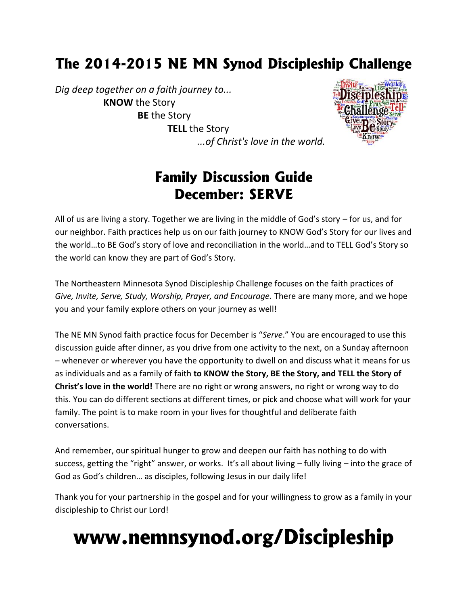# **The 2014-2015 NE MN Synod Discipleship Challenge**

*Dig deep together on a faith journey to...* **KNOW** the Story **BE** the Story **TELL** the Story *...of Christ's love in the world.*



# **Family Discussion Guide December: SERVE**

All of us are living a story. Together we are living in the middle of God's story – for us, and for our neighbor. Faith practices help us on our faith journey to KNOW God's Story for our lives and the world…to BE God's story of love and reconciliation in the world…and to TELL God's Story so the world can know they are part of God's Story.

The Northeastern Minnesota Synod Discipleship Challenge focuses on the faith practices of *Give, Invite, Serve, Study, Worship, Prayer, and Encourage.* There are many more, and we hope you and your family explore others on your journey as well!

The NE MN Synod faith practice focus for December is "*Serve*." You are encouraged to use this discussion guide after dinner, as you drive from one activity to the next, on a Sunday afternoon – whenever or wherever you have the opportunity to dwell on and discuss what it means for us as individuals and as a family of faith **to KNOW the Story, BE the Story, and TELL the Story of Christ's love in the world!** There are no right or wrong answers, no right or wrong way to do this. You can do different sections at different times, or pick and choose what will work for your family. The point is to make room in your lives for thoughtful and deliberate faith conversations.

And remember, our spiritual hunger to grow and deepen our faith has nothing to do with success, getting the "right" answer, or works. It's all about living – fully living – into the grace of God as God's children… as disciples, following Jesus in our daily life!

Thank you for your partnership in the gospel and for your willingness to grow as a family in your discipleship to Christ our Lord!

# **www.nemnsynod.org/Discipleship**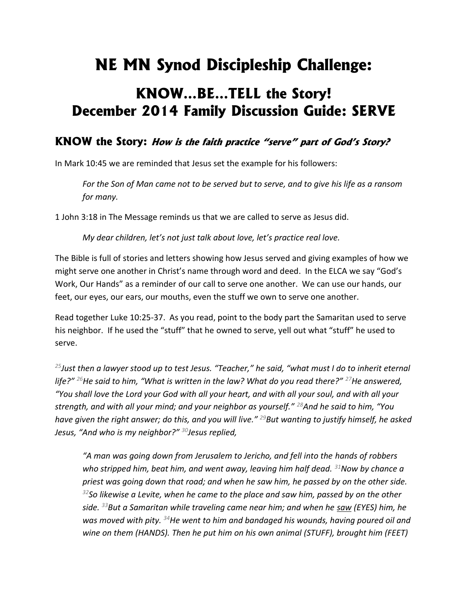# **NE MN Synod Discipleship Challenge:**

# **KNOW…BE…TELL the Story! December 2014 Family Discussion Guide: SERVE**

### **KNOW the Story:** *How is the faith practice "serve" part of God's Story?*

In Mark 10:45 we are reminded that Jesus set the example for his followers:

*For the Son of Man came not to be served but to serve, and to give his life as a ransom for many.*

1 John 3:18 in The Message reminds us that we are called to serve as Jesus did.

*My dear children, let's not just talk about love, let's practice real love.*

The Bible is full of stories and letters showing how Jesus served and giving examples of how we might serve one another in Christ's name through word and deed. In the ELCA we say "God's Work, Our Hands" as a reminder of our call to serve one another. We can use our hands, our feet, our eyes, our ears, our mouths, even the stuff we own to serve one another.

Read together Luke 10:25-37. As you read, point to the body part the Samaritan used to serve his neighbor. If he used the "stuff" that he owned to serve, yell out what "stuff" he used to serve.

*<sup>25</sup>Just then a lawyer stood up to test Jesus. "Teacher," he said, "what must I do to inherit eternal life?" <sup>26</sup>He said to him, "What is written in the law? What do you read there?" <sup>27</sup>He answered, "You shall love the Lord your God with all your heart, and with all your soul, and with all your strength, and with all your mind; and your neighbor as yourself." <sup>28</sup>And he said to him, "You have given the right answer; do this, and you will live." <sup>29</sup>But wanting to justify himself, he asked Jesus, "And who is my neighbor?" <sup>30</sup>Jesus replied,*

*"A man was going down from Jerusalem to Jericho, and fell into the hands of robbers who stripped him, beat him, and went away, leaving him half dead. <sup>31</sup>Now by chance a priest was going down that road; and when he saw him, he passed by on the other side. <sup>32</sup>So likewise a Levite, when he came to the place and saw him, passed by on the other side. <sup>33</sup>But a Samaritan while traveling came near him; and when he saw (EYES) him, he was moved with pity. <sup>34</sup>He went to him and bandaged his wounds, having poured oil and wine on them (HANDS). Then he put him on his own animal (STUFF), brought him (FEET)*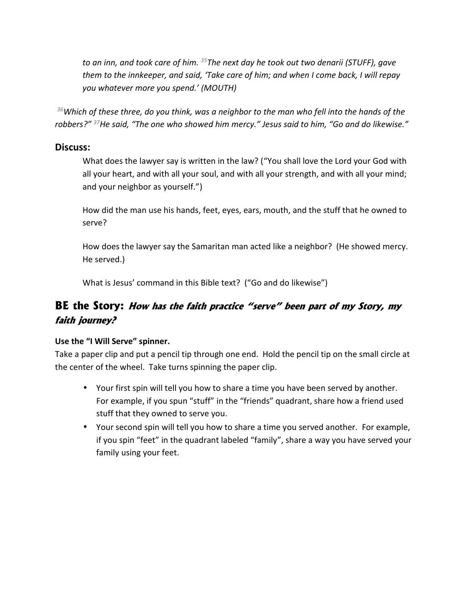*to an inn, and took care of him. <sup>35</sup>The next day he took out two denarii (STUFF), gave them to the innkeeper, and said, 'Take care of him; and when I come back, I will repay you whatever more you spend.' (MOUTH)*

*<sup>36</sup>Which of these three, do you think, was a neighbor to the man who fell into the hands of the robbers?" <sup>37</sup>He said, "The one who showed him mercy." Jesus said to him, "Go and do likewise."*

### **Discuss:**

What does the lawyer say is written in the law? ("You shall love the Lord your God with all your heart, and with all your soul, and with all your strength, and with all your mind; and your neighbor as yourself.")

How did the man use his hands, feet, eyes, ears, mouth, and the stuff that he owned to serve?

How does the lawyer say the Samaritan man acted like a neighbor? (He showed mercy. He served.)

What is Jesus' command in this Bible text? ("Go and do likewise")

### **BE the Story:** *How has the faith practice "serve" been part of my Story, my faith journey?*

### **Use the "I Will Serve" spinner.**

Take a paper clip and put a pencil tip through one end. Hold the pencil tip on the small circle at the center of the wheel. Take turns spinning the paper clip.

- Your first spin will tell you how to share a time you have been served by another. For example, if you spun "stuff" in the "friends" quadrant, share how a friend used stuff that they owned to serve you.
- Your second spin will tell you how to share a time you served another. For example, if you spin "feet" in the quadrant labeled "family", share a way you have served your family using your feet.